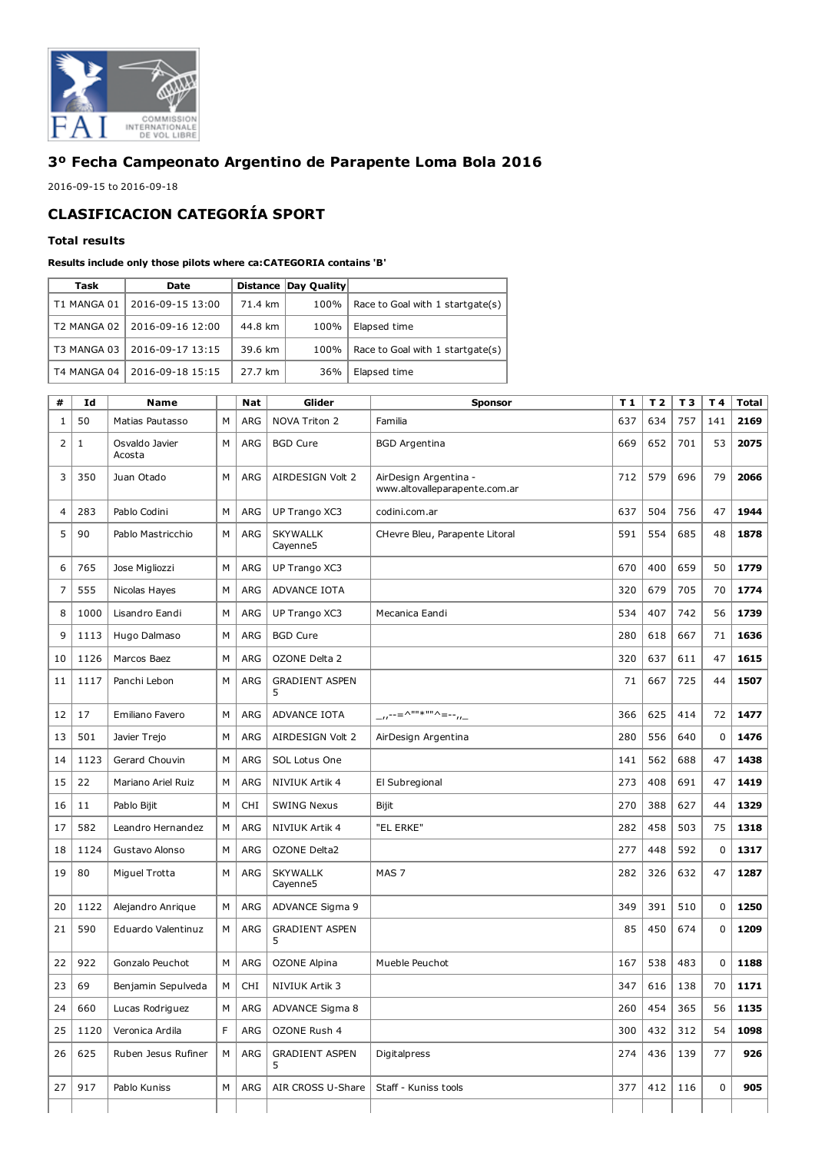

## 3º Fecha Campeonato Argentino de Parapente Loma Bola 2016

2016-09-15 to 2016-09-18

## CLASIFICACION CATEGORÍA SPORT

## Total results

## Results include only those pilots where ca:CATEGORIA contains 'B'

| Task        | Date             |         | Distance Day Quality |                                  |
|-------------|------------------|---------|----------------------|----------------------------------|
| T1 MANGA 01 | 2016-09-15 13:00 | 71.4 km | 100%                 | Race to Goal with 1 startgate(s) |
| T2 MANGA 02 | 2016-09-16 12:00 | 44.8 km | 100%                 | Elapsed time                     |
| T3 MANGA 03 | 2016-09-17 13:15 | 39.6 km | 100%                 | Race to Goal with 1 startgate(s) |
| T4 MANGA 04 | 2016-09-18 15:15 | 27.7 km | 36%                  | Elapsed time                     |

| #  | Id   | <b>Name</b>              |   | <b>Nat</b> | Glider                      | <b>Sponsor</b>                                         | T <sub>1</sub> | T <sub>2</sub> | T <sub>3</sub> | T 4         | <b>Total</b> |
|----|------|--------------------------|---|------------|-----------------------------|--------------------------------------------------------|----------------|----------------|----------------|-------------|--------------|
| 1  | 50   | Matias Pautasso          | M | ARG        | NOVA Triton 2               | Familia                                                | 637            | 634            | 757            | 141         | 2169         |
| 2  | 1    | Osvaldo Javier<br>Acosta | M | <b>ARG</b> | <b>BGD Cure</b>             | <b>BGD Argentina</b>                                   | 669            | 652            | 701            | 53          | 2075         |
| 3  | 350  | Juan Otado               | M | <b>ARG</b> | AIRDESIGN Volt 2            | AirDesign Argentina -<br>www.altovalleparapente.com.ar | 712            | 579            | 696            | 79          | 2066         |
| 4  | 283  | Pablo Codini             | M | ARG        | UP Trango XC3               | codini.com.ar                                          | 637            | 504            | 756            | 47          | 1944         |
| 5  | 90   | Pablo Mastricchio        | M | <b>ARG</b> | <b>SKYWALLK</b><br>Cayenne5 | CHevre Bleu, Parapente Litoral                         | 591            | 554            | 685            | 48          | 1878         |
| 6  | 765  | Jose Migliozzi           | M | <b>ARG</b> | UP Trango XC3               |                                                        | 670            | 400            | 659            | 50          | 1779         |
| 7  | 555  | Nicolas Hayes            | M | <b>ARG</b> | ADVANCE IOTA                |                                                        | 320            | 679            | 705            | 70          | 1774         |
| 8  | 1000 | Lisandro Eandi           | M | <b>ARG</b> | UP Trango XC3               | Mecanica Eandi                                         | 534            | 407            | 742            | 56          | 1739         |
| 9  | 1113 | Hugo Dalmaso             | M | <b>ARG</b> | <b>BGD Cure</b>             |                                                        | 280            | 618            | 667            | 71          | 1636         |
| 10 | 1126 | Marcos Baez              | M | <b>ARG</b> | OZONE Delta 2               |                                                        | 320            | 637            | 611            | 47          | 1615         |
| 11 | 1117 | Panchi Lebon             | M | ARG        | <b>GRADIENT ASPEN</b><br>5  |                                                        | 71             | 667            | 725            | 44          | 1507         |
| 12 | 17   | Emiliano Favero          | M | <b>ARG</b> | ADVANCE IOTA                | $-$ u <sup>--=^""*""^=--</sup> u-                      | 366            | 625            | 414            | 72          | 1477         |
| 13 | 501  | Javier Trejo             | M | <b>ARG</b> | AIRDESIGN Volt 2            | AirDesign Argentina                                    | 280            | 556            | 640            | $\mathbf 0$ | 1476         |
| 14 | 1123 | Gerard Chouvin           | M | <b>ARG</b> | SOL Lotus One               |                                                        | 141            | 562            | 688            | 47          | 1438         |
| 15 | 22   | Mariano Ariel Ruiz       | M | <b>ARG</b> | NIVIUK Artik 4              | El Subregional                                         | 273            | 408            | 691            | 47          | 1419         |
| 16 | 11   | Pablo Bijit              | M | <b>CHI</b> | <b>SWING Nexus</b>          | Bijit                                                  | 270            | 388            | 627            | 44          | 1329         |
| 17 | 582  | Leandro Hernandez        | M | <b>ARG</b> | NIVIUK Artik 4              | "EL ERKE"                                              | 282            | 458            | 503            | 75          | 1318         |
| 18 | 1124 | Gustavo Alonso           | M | <b>ARG</b> | OZONE Delta2                |                                                        | 277            | 448            | 592            | $\pmb{0}$   | 1317         |
| 19 | 80   | Miguel Trotta            | М | ARG        | <b>SKYWALLK</b><br>Cayenne5 | MAS <sub>7</sub>                                       | 282            | 326            | 632            | 47          | 1287         |
| 20 | 1122 | Alejandro Anrique        | M | <b>ARG</b> | ADVANCE Sigma 9             |                                                        | 349            | 391            | 510            | $\mathbf 0$ | 1250         |
| 21 | 590  | Eduardo Valentinuz       | M | ARG        | <b>GRADIENT ASPEN</b><br>5  |                                                        | 85             | 450            | 674            | $\mathbf 0$ | 1209         |
| 22 | 922  | Gonzalo Peuchot          | М | <b>ARG</b> | <b>OZONE Alpina</b>         | Mueble Peuchot                                         | 167            | 538            | 483            | $\mathbf 0$ | 1188         |
| 23 | 69   | Benjamin Sepulveda       | M | <b>CHI</b> | <b>NIVIUK Artik 3</b>       |                                                        | 347            | 616            | 138            | 70          | 1171         |
| 24 | 660  | Lucas Rodriguez          | М | ARG        | ADVANCE Sigma 8             |                                                        | 260            | 454            | 365            | 56          | 1135         |
| 25 | 1120 | Veronica Ardila          | F | ARG        | OZONE Rush 4                |                                                        | 300            | 432            | 312            | 54          | 1098         |
| 26 | 625  | Ruben Jesus Rufiner      | М | ARG        | <b>GRADIENT ASPEN</b><br>5. | Digitalpress                                           | 274            | 436            | 139            | 77          | 926          |
| 27 | 917  | Pablo Kuniss             | М | ARG        | AIR CROSS U-Share           | Staff - Kuniss tools                                   | 377            | 412            | 116            | 0           | 905          |
|    |      |                          |   |            |                             |                                                        |                |                |                |             |              |